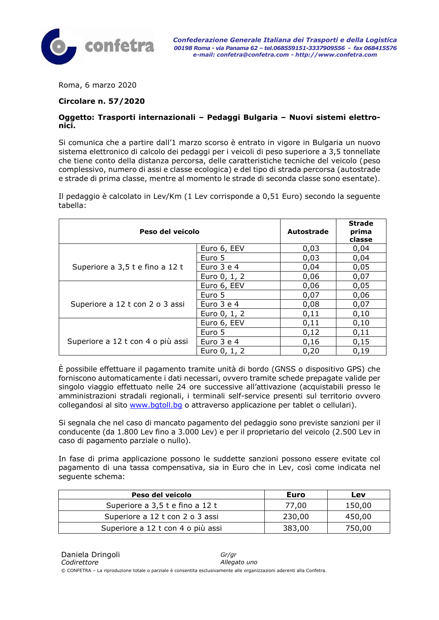

Roma, 6 marzo 2020

#### **Circolare n. 57/2020**

#### **Oggetto: Trasporti internazionali – Pedaggi Bulgaria – Nuovi sistemi elettronici.**

Si comunica che a partire dall'1 marzo scorso è entrato in vigore in Bulgaria un nuovo sistema elettronico di calcolo dei pedaggi per i veicoli di peso superiore a 3,5 tonnellate che tiene conto della distanza percorsa, delle caratteristiche tecniche del veicolo (peso complessivo, numero di assi e classe ecologica) e del tipo di strada percorsa (autostrade e strade di prima classe, mentre al momento le strade di seconda classe sono esentate).

Il pedaggio è calcolato in Lev/Km (1 Lev corrisponde a 0,51 Euro) secondo la seguente tabella:

| Peso del veicolo                  |                | Autostrade | <b>Strade</b><br>prima<br>classe |
|-----------------------------------|----------------|------------|----------------------------------|
|                                   | Euro 6, EEV    | 0,03       | 0,04                             |
| Superiore a 3,5 t e fino a 12 t   | Euro 5         | 0,03       | 0,04                             |
|                                   | Euro $3$ e $4$ | 0,04       | 0,05                             |
|                                   | Euro 0, 1, 2   | 0,06       | 0,07                             |
|                                   | Euro 6, EEV    | 0,06       | 0,05                             |
|                                   | Euro 5         | 0,07       | 0,06                             |
| Superiore a 12 t con 2 o 3 assi   | Euro $3$ e $4$ | 0,08       | 0,07                             |
|                                   | Euro 0, 1, 2   | 0,11       | 0,10                             |
|                                   | Euro 6, EEV    | 0,11       | 0,10                             |
| Superiore a 12 t con 4 o più assi | Euro 5         | 0,12       | 0,11                             |
|                                   | Euro 3 e 4     | 0,16       | 0,15                             |
|                                   | Euro 0, 1, 2   | 0,20       | 0,19                             |

È possibile effettuare il pagamento tramite unità di bordo (GNSS o dispositivo GPS) che forniscono automaticamente i dati necessari, ovvero tramite schede prepagate valide per singolo viaggio effettuato nelle 24 ore successive all'attivazione (acquistabili presso le amministrazioni stradali regionali, i terminali self-service presenti sul territorio ovvero collegandosi al sito [www.bgtoll.bg](http://www.bgtoll.bg/) o attraverso applicazione per tablet o cellulari).

Si segnala che nel caso di mancato pagamento del pedaggio sono previste sanzioni per il conducente (da 1.800 Lev fino a 3.000 Lev) e per il proprietario del veicolo (2.500 Lev in caso di pagamento parziale o nullo).

In fase di prima applicazione possono le suddette sanzioni possono essere evitate col pagamento di una tassa compensativa, sia in Euro che in Lev, così come indicata nel seguente schema:

| Peso del veicolo                  | Euro   | Lev    |
|-----------------------------------|--------|--------|
| Superiore a 3,5 t e fino a 12 t   | 77,00  | 150,00 |
| Superiore a 12 t con 2 o 3 assi   | 230,00 | 450,00 |
| Superiore a 12 t con 4 o più assi | 383,00 | 750,00 |

© CONFETRA – La riproduzione totale o parziale è consentita esclusivamente alle organizzazioni aderenti alla Confetra.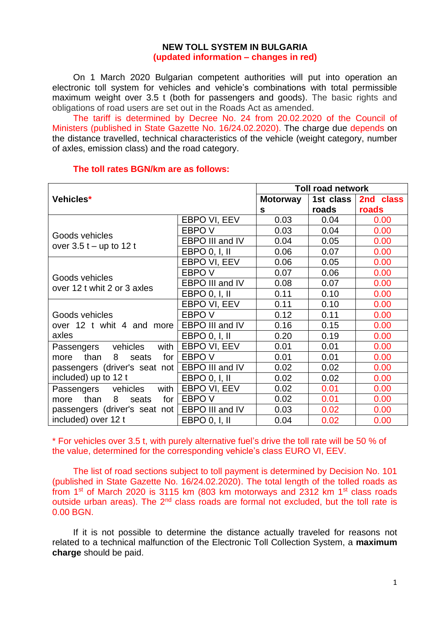## **NEW TOLL SYSTEM IN BULGARIA (updated information – changes in red)**

On 1 March 2020 Bulgarian competent authorities will put into operation an electronic toll system for vehicles and vehicle's combinations with total permissible maximum weight over 3.5 t (both for passengers and goods). The basic rights and obligations of road users are set out in the Roads Act as amended.

The tariff is determined by Decree No. 24 from 20.02.2020 of the Council of Ministers (published in State Gazette No. 16/24.02.2020). The charge due depends on the distance travelled, technical characteristics of the vehicle (weight category, number of axles, emission class) and the road category.

| Vehicles*                                     |                 | <b>Toll road network</b> |           |           |
|-----------------------------------------------|-----------------|--------------------------|-----------|-----------|
|                                               |                 | <b>Motorway</b>          | 1st class | 2nd class |
|                                               |                 | S                        | roads     | roads     |
|                                               | EBPO VI, EEV    | 0.03                     | 0.04      | 0.00      |
| Goods vehicles                                | EBPO V          | 0.03                     | 0.04      | 0.00      |
| over $3.5t - up$ to 12 t                      | EBPO III and IV | 0.04                     | 0.05      | 0.00      |
|                                               | EBPO $0, I, II$ | 0.06                     | 0.07      | 0.00      |
|                                               | EBPO VI, EEV    | 0.06                     | 0.05      | 0.00      |
|                                               | EBPO V          | 0.07                     | 0.06      | 0.00      |
| Goods vehicles<br>over 12 t whit 2 or 3 axles | EBPO III and IV | 0.08                     | 0.07      | 0.00      |
|                                               | EBPO 0, 1, 11   | 0.11                     | 0.10      | 0.00      |
|                                               | EBPO VI, EEV    | 0.11                     | 0.10      | 0.00      |
| Goods vehicles                                | EBPO V          | 0.12                     | 0.11      | 0.00      |
| over 12 t whit 4 and more                     | EBPO III and IV | 0.16                     | 0.15      | 0.00      |
| axles                                         | EBPO 0, I, II   | 0.20                     | 0.19      | 0.00      |
| with<br>Passengers vehicles                   | EBPO VI, EEV    | 0.01                     | 0.01      | 0.00      |
| more than<br>8<br>for I<br>seats              | EBPO V          | 0.01                     | 0.01      | 0.00      |
| passengers (driver's seat not                 | EBPO III and IV | 0.02                     | 0.02      | 0.00      |
| included) up to 12 t                          | EBPO $0, I, II$ | 0.02                     | 0.02      | 0.00      |
| Passengers vehicles<br>with                   | EBPO VI, EEV    | 0.02                     | 0.01      | 0.00      |
| than<br>8<br>for $\vert$<br>seats<br>more     | EBPO V          | 0.02                     | 0.01      | 0.00      |
| passengers (driver's seat not                 | EBPO III and IV | 0.03                     | 0.02      | 0.00      |
| included) over 12 t                           | EBPO 0, I, II   | 0.04                     | 0.02      | 0.00      |

## **The toll rates BGN/km are as follows:**

\* For vehicles over 3.5 t, with purely alternative fuel's drive the toll rate will be 50 % of the value, determined for the corresponding vehicle's class EURO VI, EEV.

The list of road sections subject to toll payment is determined by Decision No. 101 (published in State Gazette No. 16/24.02.2020). The total length of the tolled roads as from 1<sup>st</sup> of March 2020 is 3115 km (803 km motorways and 2312 km 1<sup>st</sup> class roads outside urban areas). The  $2<sup>nd</sup>$  class roads are formal not excluded, but the toll rate is 0.00 BGN.

If it is not possible to determine the distance actually traveled for reasons not related to a technical malfunction of the Electronic Toll Collection System, a **maximum charge** should be paid.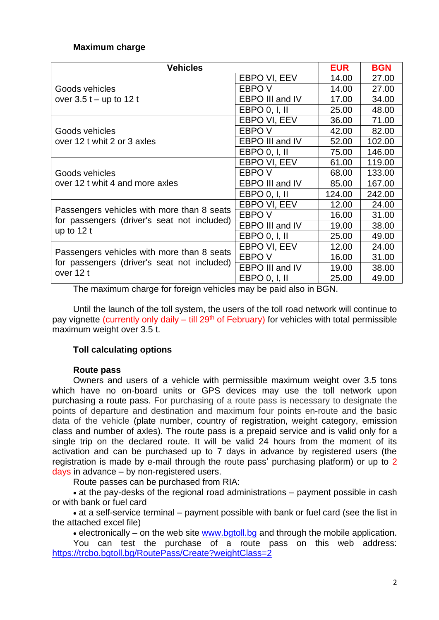# **Maximum charge**

| <b>Vehicles</b>                                                                           |                   | <b>EUR</b> | <b>BGN</b> |
|-------------------------------------------------------------------------------------------|-------------------|------------|------------|
|                                                                                           | EBPO VI, EEV      | 14.00      | 27.00      |
| Goods vehicles                                                                            | EBPO V            | 14.00      | 27.00      |
| over $3.5t - up$ to 12 t                                                                  | EBPO III and IV   | 17.00      | 34.00      |
|                                                                                           | EBPO $0, I, II$   | 25.00      | 48.00      |
|                                                                                           | EBPO VI, EEV      | 36.00      | 71.00      |
| Goods vehicles                                                                            | EBPO V            | 42.00      | 82.00      |
| over 12 t whit 2 or 3 axles                                                               | EBPO III and IV   | 52.00      | 102.00     |
|                                                                                           | EBPO 0, 1, 11     | 75.00      | 146.00     |
|                                                                                           | EBPO VI, EEV      | 61.00      | 119.00     |
| Goods vehicles                                                                            | EBPO V            | 68.00      | 133.00     |
| over 12 t whit 4 and more axles                                                           | EBPO III and IV   | 85.00      | 167.00     |
|                                                                                           | EBPO $0, I, II$   | 124.00     | 242.00     |
|                                                                                           | EBPO VI, EEV      | 12.00      | 24.00      |
| Passengers vehicles with more than 8 seats<br>for passengers (driver's seat not included) | EBPO <sub>V</sub> | 16.00      | 31.00      |
| up to $12t$                                                                               | EBPO III and IV   | 19.00      | 38.00      |
|                                                                                           | EBPO 0, 1, 11     | 25.00      | 49.00      |
|                                                                                           | EBPO VI, EEV      | 12.00      | 24.00      |
| Passengers vehicles with more than 8 seats                                                | EBPO <sub>V</sub> | 16.00      | 31.00      |
| for passengers (driver's seat not included)<br>over 12 t                                  | EBPO III and IV   | 19.00      | 38.00      |
|                                                                                           | EBPO 0, I, II     | 25.00      | 49.00      |

The maximum charge for foreign vehicles may be paid also in BGN.

Until the launch of the toll system, the users of the toll road network will continue to pay vignette (currently only daily  $-$  till 29<sup>th</sup> of February) for vehicles with total permissible maximum weight over 3.5 t.

# **Toll calculating options**

#### **Route pass**

Owners and users of a vehicle with permissible maximum weight over 3.5 tons which have no on-board units or GPS devices may use the toll network upon purchasing a route pass. For purchasing of a route pass is necessary to designate the points of departure and destination and maximum four points en-route and the basic data of the vehicle (plate number, country of registration, weight category, emission class and number of axles). The route pass is a prepaid service and is valid only for a single trip on the declared route. It will be valid 24 hours from the moment of its activation and can be purchased up to 7 days in advance by registered users (the registration is made by e-mail through the route pass' purchasing platform) or up to 2 days in advance – by non-registered users.

Route passes can be purchased from RIA:

• at the pay-desks of the regional road administrations – payment possible in cash or with bank or fuel card

• at a self-service terminal – payment possible with bank or fuel card (see the list in the attached excel file)

 $\bullet$  electronically – on the web site [www.bgtoll.bg](http://www.bgtoll.bg/) and through the mobile application.

You can test the purchase of a route pass on this web address: <https://trcbo.bgtoll.bg/RoutePass/Create?weightClass=2>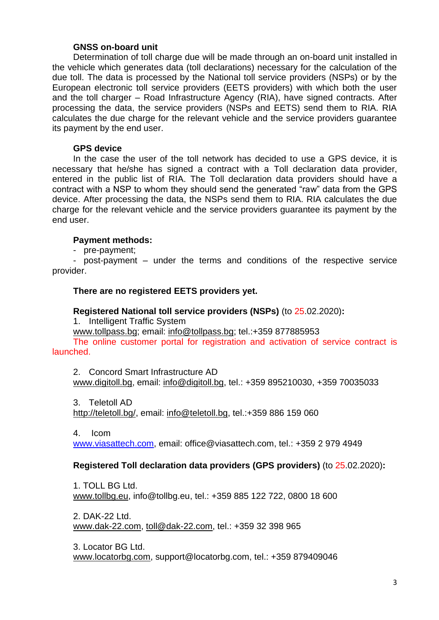## **GNSS on-board unit**

Determination of toll charge due will be made through an on-board unit installed in the vehicle which generates data (toll declarations) necessary for the calculation of the due toll. The data is processed by the National toll service providers (NSPs) or by the European electronic toll service providers (EETS providers) with which both the user and the toll charger – Road Infrastructure Agency (RIA), have signed contracts. After processing the data, the service providers (NSPs and EETS) send them to RIA. RIA calculates the due charge for the relevant vehicle and the service providers guarantee its payment by the end user.

### **GPS device**

In the case the user of the toll network has decided to use a GPS device, it is necessary that he/she has signed a contract with a Toll declaration data provider, entered in the public list of RIA. The Toll declaration data providers should have a contract with a NSP to whom they should send the generated "raw" data from the GPS device. After processing the data, the NSPs send them to RIA. RIA calculates the due charge for the relevant vehicle and the service providers guarantee its payment by the end user.

## **Payment methods:**

- pre-payment;

- post-payment – under the terms and conditions of the respective service provider.

# **There are no registered EETS providers yet.**

### **Registered National toll service providers (NSPs)** (to 25.02.2020)**:**

1. Intelligent Traffic System

[www.tollpass.bg;](http://www.tollpass.bg/) email: [info@tollpass.bg;](mailto:info@tollpass.bg) tel.:+359 877885953

The online customer portal for registration and activation of service contract is launched.

2. Concord Smart Infrastructure AD [www.digitoll.bg,](https://www.digitoll.bg/) email: [info@digitoll.bg,](mailto:info@digitoll.bg) tel.: +359 895210030, +359 70035033

3. Teletoll AD

[http://teletoll.bg/,](http://teletoll.bg/) email: [info@teletoll.bg,](mailto:info@teletoll.bg) tel.:+359 886 159 060

4. Icom

[www.viasattech.com,](http://www.viasattech.com/) email: [office@viasattech.com,](mailto:office@viasattech.com) tel.: +359 2 979 4949

# **Registered Toll declaration data providers (GPS providers)** (to 25.02.2020)**:**

1. TOLL BG Ltd. [www.tollbg.eu,](https://www.tollbg.eu/) [info@tollbg.eu,](mailto:info@tollbg.eu) tel.: +359 885 122 722, 0800 18 600

2. DAK-22 Ltd. [www.dak-22.com,](https://www.dak-22.com/) [toll@dak-22.com,](mailto:toll@dak-22.com) tel.: +359 32 398 965

3. Locator BG Ltd. [www.locatorbg.com,](http://www.locatorbg.com/) [support@locatorbg.com,](mailto:support@locatorbg.com) tel.: +359 879409046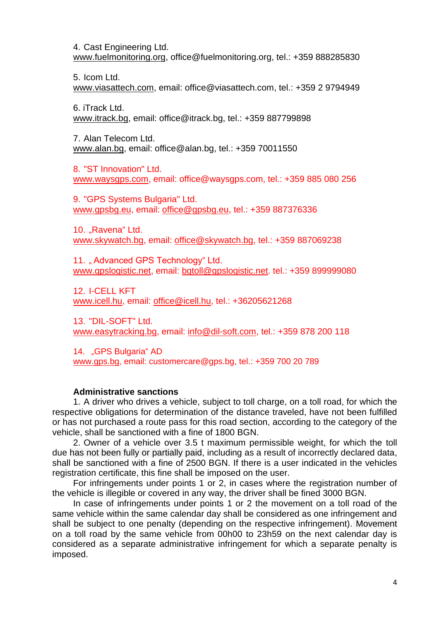4. Cast Engineering Ltd. [www.fuelmonitoring.org,](http://www.fuelmonitoring.org/) [office@fuelmonitoring.org,](mailto:office@fuelmonitoring.org) tel.: +359 888285830

5. Icom Ltd. [www.viasattech.com,](http://www.viasattech.com/) email: [office@viasattech.com,](mailto:office@viasattech.com) tel.: +359 2 9794949

6. iTrack Ltd. [www.itrack.bg,](http://www.itrack.bg/) email: [office@itrack.bg,](mailto:office@itrack.bg) tel.: +359 887799898

7. Alan Telecom Ltd. [www.alan.bg,](http://www.alan.bg/) email: [office@alan.bg,](mailto:office@alan.bg) tel.: +359 70011550

8. "ST Innovation" Ltd. www.waysgps.com, email: office@waysgps.com, tel.: +359 885 080 256

9. "GPS Systems Bulgaria" Ltd. [www.gpsbg.eu,](http://www.gpsbg.eu/) email: [office@gpsbg.eu,](mailto:office@gpsbg.eu) tel.: +359 887376336

10. "Ravena" Ltd. [www.skywatch.bg,](http://www.skywatch.bg/) email: [office@skywatch.bg,](mailto:office@skywatch.bg) tel.: +359 887069238

11. "Advanced GPS Technology" Ltd. [www.gpslogistic.net,](http://www.gpslogistic.net/) email: [bgtoll@gpslogistic.net.](mailto:bgtoll@gpslogistic.net) tel.: +359 899999080

12. I-CELL KFT [www.icell.hu,](http://www.icell.hu/) email: [office@icell.hu,](mailto:office@icell.hu) tel.: +36205621268

13. "DIL-SOFT" Ltd. [www.easytracking.bg,](http://www.easytracking.bg/) email: [info@dil-soft.com,](mailto:info@dil-soft.com) tel.: +359 878 200 118

14. "GPS Bulgaria" AD [www.gps.bg,](http://www.gps.bg/) email: [customercare@gps.bg,](mailto:customercare@gps.bg) tel.: +359 700 20 789

#### **Administrative sanctions**

1. A driver who drives a vehicle, subject to toll charge, on a toll road, for which the respective obligations for determination of the distance traveled, have not been fulfilled or has not purchased a route pass for this road section, according to the category of the vehicle, shall be sanctioned with a fine of 1800 BGN.

2. Owner of a vehicle over 3.5 t maximum permissible weight, for which the toll due has not been fully or partially paid, including as a result of incorrectly declared data, shall be sanctioned with a fine of 2500 BGN. If there is a user indicated in the vehicles registration certificate, this fine shall be imposed on the user.

For infringements under points 1 or 2, in cases where the registration number of the vehicle is illegible or covered in any way, the driver shall be fined 3000 BGN.

In case of infringements under points 1 or 2 the movement on a toll road of the same vehicle within the same calendar day shall be considered as one infringement and shall be subject to one penalty (depending on the respective infringement). Movement on a toll road by the same vehicle from 00h00 to 23h59 on the next calendar day is considered as a separate administrative infringement for which a separate penalty is imposed.